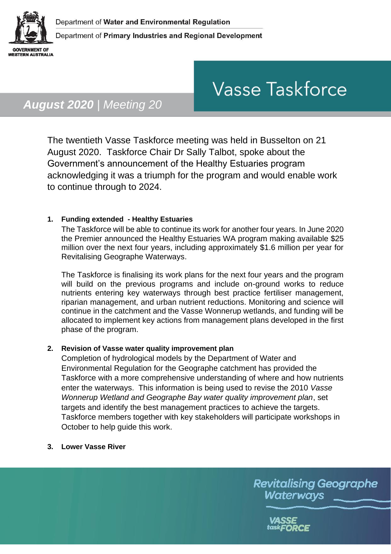

# **Vasse Taskforce**

# *August 2020 | Meeting 20*

The twentieth Vasse Taskforce meeting was held in Busselton on 21 August 2020. Taskforce Chair Dr Sally Talbot, spoke about the Government's announcement of the Healthy Estuaries program acknowledging it was a triumph for the program and would enable work to continue through to 2024.

## **1. Funding extended - Healthy Estuaries**

The Taskforce will be able to continue its work for another four years. In June 2020 the Premier announced the Healthy Estuaries WA program making available \$25 million over the next four years, including approximately \$1.6 million per year for Revitalising Geographe Waterways.

The Taskforce is finalising its work plans for the next four years and the program will build on the previous programs and include on-ground works to reduce nutrients entering key waterways through best practice fertiliser management, riparian management, and urban nutrient reductions. Monitoring and science will continue in the catchment and the Vasse Wonnerup wetlands, and funding will be allocated to implement key actions from management plans developed in the first phase of the program.

### **2. Revision of Vasse water quality improvement plan**

Completion of hydrological models by the Department of Water and Environmental Regulation for the Geographe catchment has provided the Taskforce with a more comprehensive understanding of where and how nutrients enter the waterways. This information is being used to revise the 2010 *Vasse Wonnerup Wetland and Geographe Bay water quality improvement plan*, set targets and identify the best management practices to achieve the targets. Taskforce members together with key stakeholders will participate workshops in October to help guide this work.

**3. Lower Vasse River** 

**Revitalising Geographe** Waterways

> VASSE task**FORCE**